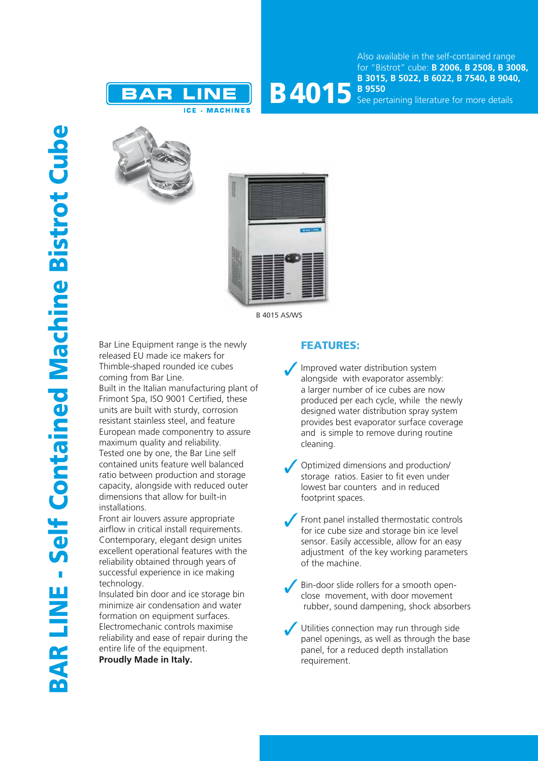



See pertaining literature for more details





B 4015 AS/WS

Bar Line Equipment range is the newly released EU made ice makers for Thimble-shaped rounded ice cubes coming from Bar Line.

Built in the Italian manufacturing plant of Frimont Spa, ISO 9001 Certified, these units are built with sturdy, corrosion resistant stainless steel, and feature European made componentry to assure maximum quality and reliability. Tested one by one, the Bar Line self contained units feature well balanced ratio between production and storage capacity, alongside with reduced outer dimensions that allow for built-in installations.

Front air louvers assure appropriate airflow in critical install requirements. Contemporary, elegant design unites excellent operational features with the reliability obtained through years of successful experience in ice making technology.

Insulated bin door and ice storage bin minimize air condensation and water formation on equipment surfaces. Electromechanic controls maximise reliability and ease of repair during the entire life of the equipment.

**Proudly Made in Italy.**

## FEATURES:

- Improved water distribution system alongside with evaporator assembly: a larger number of ice cubes are now produced per each cycle, while the newly designed water distribution spray system provides best evaporator surface coverage and is simple to remove during routine cleaning.
- Optimized dimensions and production/ storage ratios. Easier to fit even under lowest bar counters and in reduced footprint spaces.
- Front panel installed thermostatic controls for ice cube size and storage bin ice level sensor. Easily accessible, allow for an easy adjustment of the key working parameters of the machine.
- Bin-door slide rollers for a smooth openclose movement, with door movement rubber, sound dampening, shock absorbers
- Utilities connection may run through side panel openings, as well as through the base panel, for a reduced depth installation requirement.